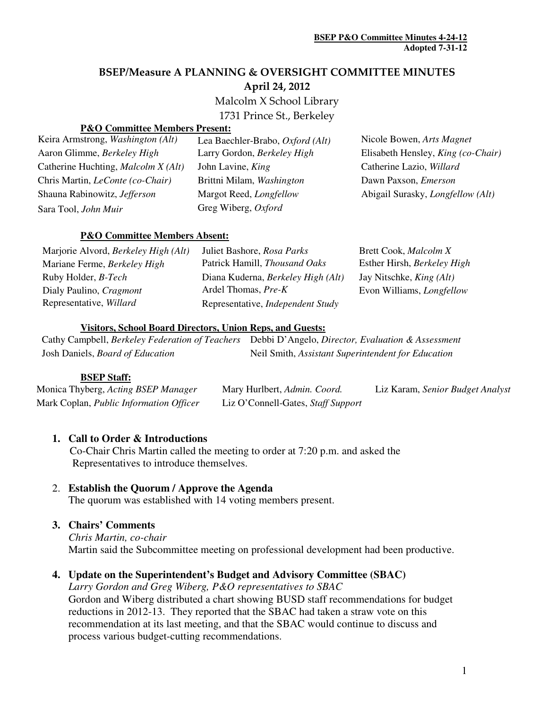# BSEP/Measure A PLANNING & OVERSIGHT COMMITTEE MINUTES

April 24, 2012

Malcolm X School Library

1731 Prince St., Berkeley

#### **P&O Committee Members Present:**

| Keira Armstrong, Washington (Alt)       | Lea Baechler-Brabo, Oxford (Alt) | Nicole Bowen, Arts Magnet                |
|-----------------------------------------|----------------------------------|------------------------------------------|
| Aaron Glimme, Berkeley High             | Larry Gordon, Berkeley High      | Elisabeth Hensley, King (co-Chair)       |
| Catherine Huchting, Malcolm X (Alt)     | John Lavine, King                | Catherine Lazio, Willard                 |
| Chris Martin, <i>LeConte</i> (co-Chair) | Brittni Milam, Washington        | Dawn Paxson, <i>Emerson</i>              |
| Shauna Rabinowitz, Jefferson            | Margot Reed, Longfellow          | Abigail Surasky, <i>Longfellow</i> (Alt) |
| Sara Tool, John Muir                    | Greg Wiberg, Oxford              |                                          |

#### **P&O Committee Members Absent:**

| Marjorie Alvord, <i>Berkeley High</i> (Alt) | Juliet Bashore, Rosa Parks         | Brett Cook, <i>Malcolm X</i>     |
|---------------------------------------------|------------------------------------|----------------------------------|
| Mariane Ferme, Berkeley High                | Patrick Hamill, Thousand Oaks      | Esther Hirsh, Berkeley High      |
| Ruby Holder, <i>B-Tech</i>                  | Diana Kuderna, Berkeley High (Alt) | Jay Nitschke, <i>King (Alt)</i>  |
| Dialy Paulino, Cragmont                     | Ardel Thomas, Pre-K                | Evon Williams, <i>Longfellow</i> |
| Representative, Willard                     | Representative, Independent Study  |                                  |

#### **Visitors, School Board Directors, Union Reps, and Guests:**

|                                         | Cathy Campbell, Berkeley Federation of Teachers Debbi D'Angelo, Director, Evaluation & Assessment |
|-----------------------------------------|---------------------------------------------------------------------------------------------------|
| Josh Daniels, <i>Board of Education</i> | Neil Smith, Assistant Superintendent for Education                                                |

#### **BSEP Staff:**

| Monica Thyberg, Acting BSEP Manager     | Mary Hurlbert, Admin. Coord.       | Liz Karam, Senior Budget Analyst |
|-----------------------------------------|------------------------------------|----------------------------------|
| Mark Coplan, Public Information Officer | Liz O'Connell-Gates, Staff Support |                                  |

#### **1. Call to Order & Introductions**

 Co-Chair Chris Martin called the meeting to order at 7:20 p.m. and asked the Representatives to introduce themselves.

#### 2. **Establish the Quorum / Approve the Agenda**

The quorum was established with 14 voting members present.

#### **3. Chairs' Comments**

*Chris Martin, co-chair*  Martin said the Subcommittee meeting on professional development had been productive.

# **4. Update on the Superintendent's Budget and Advisory Committee (SBAC)**

*Larry Gordon and Greg Wiberg, P&O representatives to SBAC*  Gordon and Wiberg distributed a chart showing BUSD staff recommendations for budget reductions in 2012-13. They reported that the SBAC had taken a straw vote on this recommendation at its last meeting, and that the SBAC would continue to discuss and process various budget-cutting recommendations.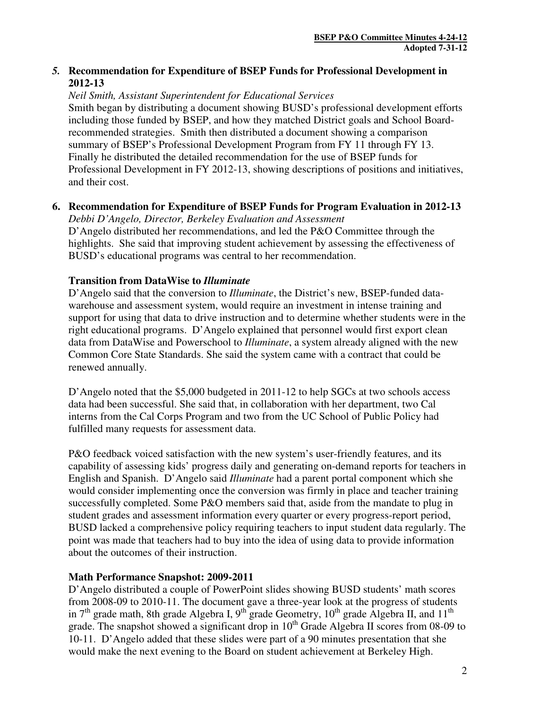# *5.* **Recommendation for Expenditure of BSEP Funds for Professional Development in 2012-13**

#### *Neil Smith, Assistant Superintendent for Educational Services*

Smith began by distributing a document showing BUSD's professional development efforts including those funded by BSEP, and how they matched District goals and School Boardrecommended strategies. Smith then distributed a document showing a comparison summary of BSEP's Professional Development Program from FY 11 through FY 13. Finally he distributed the detailed recommendation for the use of BSEP funds for Professional Development in FY 2012-13, showing descriptions of positions and initiatives, and their cost.

#### **6. Recommendation for Expenditure of BSEP Funds for Program Evaluation in 2012-13**

*Debbi D'Angelo, Director, Berkeley Evaluation and Assessment*  D'Angelo distributed her recommendations, and led the P&O Committee through the highlights. She said that improving student achievement by assessing the effectiveness of BUSD's educational programs was central to her recommendation.

# **Transition from DataWise to** *Illuminate*

D'Angelo said that the conversion to *Illuminate*, the District's new, BSEP-funded datawarehouse and assessment system, would require an investment in intense training and support for using that data to drive instruction and to determine whether students were in the right educational programs. D'Angelo explained that personnel would first export clean data from DataWise and Powerschool to *Illuminate*, a system already aligned with the new Common Core State Standards. She said the system came with a contract that could be renewed annually.

D'Angelo noted that the \$5,000 budgeted in 2011-12 to help SGCs at two schools access data had been successful. She said that, in collaboration with her department, two Cal interns from the Cal Corps Program and two from the UC School of Public Policy had fulfilled many requests for assessment data.

P&O feedback voiced satisfaction with the new system's user-friendly features, and its capability of assessing kids' progress daily and generating on-demand reports for teachers in English and Spanish. D'Angelo said *Illuminate* had a parent portal component which she would consider implementing once the conversion was firmly in place and teacher training successfully completed. Some P&O members said that, aside from the mandate to plug in student grades and assessment information every quarter or every progress-report period, BUSD lacked a comprehensive policy requiring teachers to input student data regularly. The point was made that teachers had to buy into the idea of using data to provide information about the outcomes of their instruction.

# **Math Performance Snapshot: 2009-2011**

D'Angelo distributed a couple of PowerPoint slides showing BUSD students' math scores from 2008-09 to 2010-11. The document gave a three-year look at the progress of students in  $7<sup>th</sup>$  grade math, 8th grade Algebra I, 9<sup>th</sup> grade Geometry, 10<sup>th</sup> grade Algebra II, and 11<sup>th</sup> grade. The snapshot showed a significant drop in  $10<sup>th</sup>$  Grade Algebra II scores from 08-09 to 10-11. D'Angelo added that these slides were part of a 90 minutes presentation that she would make the next evening to the Board on student achievement at Berkeley High.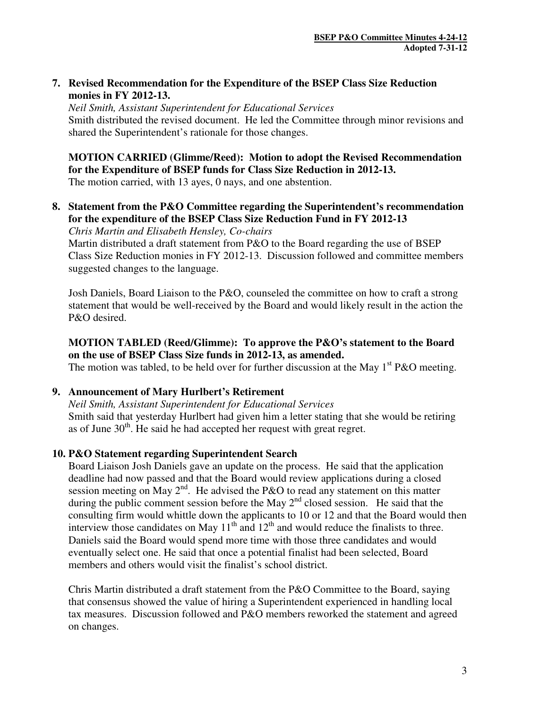# **7. Revised Recommendation for the Expenditure of the BSEP Class Size Reduction monies in FY 2012-13.**

*Neil Smith, Assistant Superintendent for Educational Services*  Smith distributed the revised document. He led the Committee through minor revisions and shared the Superintendent's rationale for those changes.

# **MOTION CARRIED (Glimme/Reed): Motion to adopt the Revised Recommendation for the Expenditure of BSEP funds for Class Size Reduction in 2012-13.**

The motion carried, with 13 ayes, 0 nays, and one abstention.

**8. Statement from the P&O Committee regarding the Superintendent's recommendation for the expenditure of the BSEP Class Size Reduction Fund in FY 2012-13**  *Chris Martin and Elisabeth Hensley, Co-chairs* 

Martin distributed a draft statement from P&O to the Board regarding the use of BSEP Class Size Reduction monies in FY 2012-13. Discussion followed and committee members suggested changes to the language.

Josh Daniels, Board Liaison to the P&O, counseled the committee on how to craft a strong statement that would be well-received by the Board and would likely result in the action the P&O desired.

# **MOTION TABLED (Reed/Glimme): To approve the P&O's statement to the Board on the use of BSEP Class Size funds in 2012-13, as amended.**

The motion was tabled, to be held over for further discussion at the May  $1<sup>st</sup> P&O$  meeting.

# **9. Announcement of Mary Hurlbert's Retirement**

*Neil Smith, Assistant Superintendent for Educational Services*  Smith said that yesterday Hurlbert had given him a letter stating that she would be retiring as of June  $30<sup>th</sup>$ . He said he had accepted her request with great regret.

# **10. P&O Statement regarding Superintendent Search**

Board Liaison Josh Daniels gave an update on the process. He said that the application deadline had now passed and that the Board would review applications during a closed session meeting on May  $2^{nd}$ . He advised the P&O to read any statement on this matter during the public comment session before the May  $2<sup>nd</sup>$  closed session. He said that the consulting firm would whittle down the applicants to 10 or 12 and that the Board would then interview those candidates on May  $11<sup>th</sup>$  and  $12<sup>th</sup>$  and would reduce the finalists to three. Daniels said the Board would spend more time with those three candidates and would eventually select one. He said that once a potential finalist had been selected, Board members and others would visit the finalist's school district.

Chris Martin distributed a draft statement from the P&O Committee to the Board, saying that consensus showed the value of hiring a Superintendent experienced in handling local tax measures. Discussion followed and P&O members reworked the statement and agreed on changes.